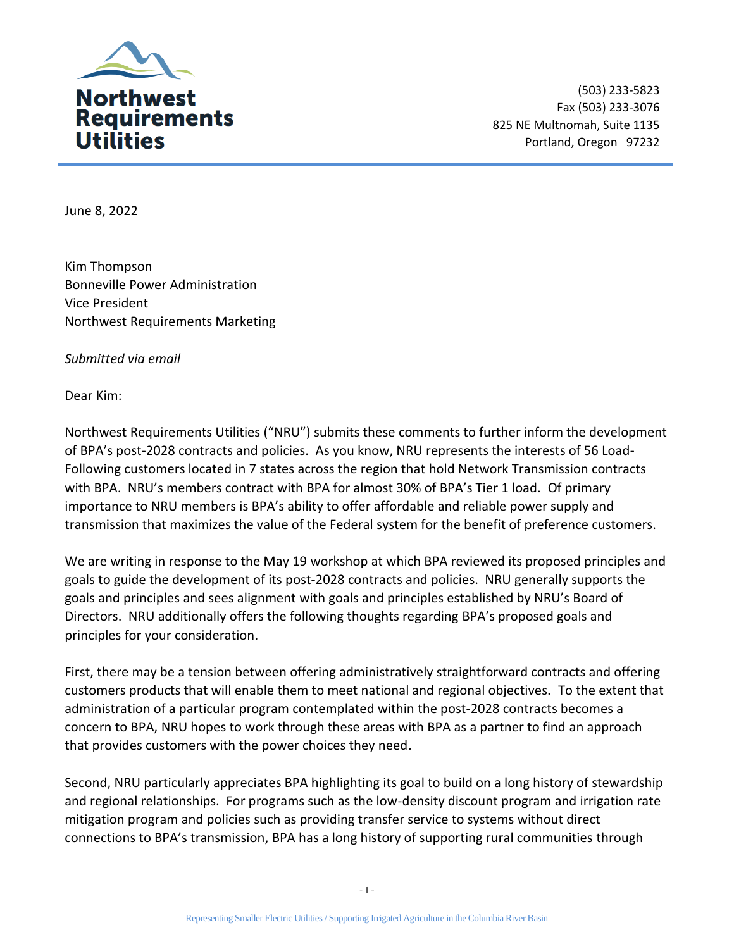

(503) 233-5823 Fax (503) 233-3076 825 NE Multnomah, Suite 1135 Portland, Oregon 97232

June 8, 2022

Kim Thompson Bonneville Power Administration Vice President Northwest Requirements Marketing

*Submitted via email* 

Dear Kim:

Northwest Requirements Utilities ("NRU") submits these comments to further inform the development of BPA's post-2028 contracts and policies. As you know, NRU represents the interests of 56 Load-Following customers located in 7 states across the region that hold Network Transmission contracts with BPA. NRU's members contract with BPA for almost 30% of BPA's Tier 1 load. Of primary importance to NRU members is BPA's ability to offer affordable and reliable power supply and transmission that maximizes the value of the Federal system for the benefit of preference customers.

We are writing in response to the May 19 workshop at which BPA reviewed its proposed principles and goals to guide the development of its post-2028 contracts and policies. NRU generally supports the goals and principles and sees alignment with goals and principles established by NRU's Board of Directors. NRU additionally offers the following thoughts regarding BPA's proposed goals and principles for your consideration.

First, there may be a tension between offering administratively straightforward contracts and offering customers products that will enable them to meet national and regional objectives. To the extent that administration of a particular program contemplated within the post-2028 contracts becomes a concern to BPA, NRU hopes to work through these areas with BPA as a partner to find an approach that provides customers with the power choices they need.

Second, NRU particularly appreciates BPA highlighting its goal to build on a long history of stewardship and regional relationships. For programs such as the low-density discount program and irrigation rate mitigation program and policies such as providing transfer service to systems without direct connections to BPA's transmission, BPA has a long history of supporting rural communities through